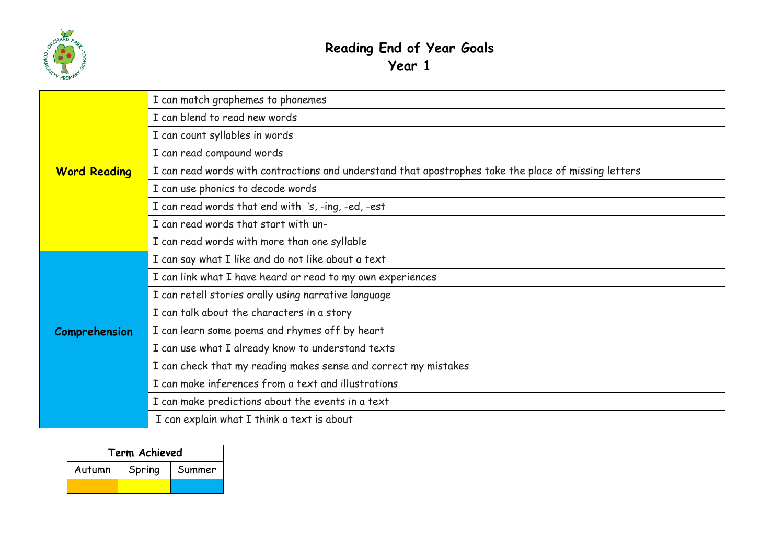

## **Reading End of Year Goals Year 1**

| <b>Word Reading</b>  | I can match graphemes to phonemes                                                                    |
|----------------------|------------------------------------------------------------------------------------------------------|
|                      | I can blend to read new words                                                                        |
|                      | I can count syllables in words                                                                       |
|                      | I can read compound words                                                                            |
|                      | I can read words with contractions and understand that apostrophes take the place of missing letters |
|                      | I can use phonics to decode words                                                                    |
|                      | I can read words that end with 's, -ing, -ed, -est                                                   |
|                      | I can read words that start with un-                                                                 |
|                      | I can read words with more than one syllable                                                         |
| <b>Comprehension</b> | I can say what I like and do not like about a text                                                   |
|                      | I can link what I have heard or read to my own experiences                                           |
|                      | I can retell stories orally using narrative language                                                 |
|                      | I can talk about the characters in a story                                                           |
|                      | I can learn some poems and rhymes off by heart                                                       |
|                      | I can use what I already know to understand texts                                                    |
|                      | I can check that my reading makes sense and correct my mistakes                                      |
|                      | I can make inferences from a text and illustrations                                                  |
|                      | I can make predictions about the events in a text                                                    |
|                      | I can explain what I think a text is about                                                           |

| <b>Term Achieved</b> |        |        |  |  |  |  |
|----------------------|--------|--------|--|--|--|--|
| Autumn               | Spring | Summer |  |  |  |  |
|                      |        |        |  |  |  |  |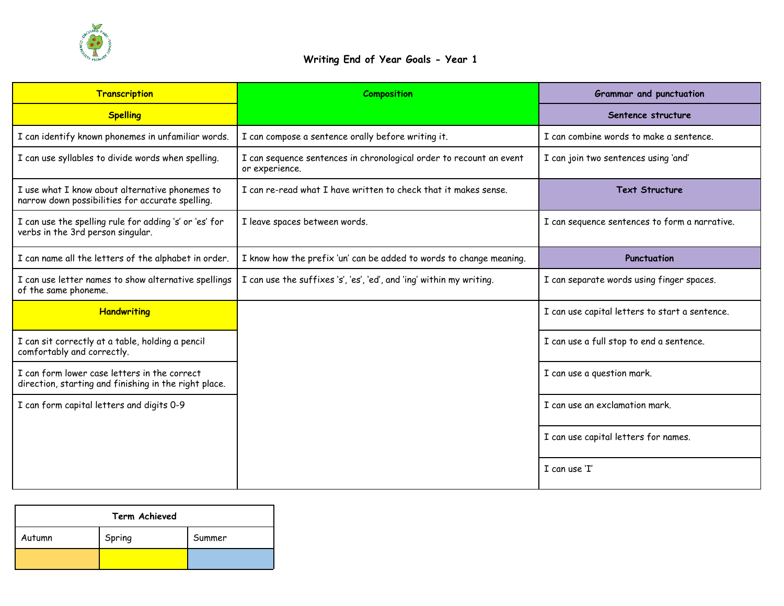

| <b>Transcription</b>                                                                                  | <b>Composition</b>                                                                    | <b>Grammar and punctuation</b>                                         |  |
|-------------------------------------------------------------------------------------------------------|---------------------------------------------------------------------------------------|------------------------------------------------------------------------|--|
| <b>Spelling</b>                                                                                       |                                                                                       | Sentence structure                                                     |  |
| I can identify known phonemes in unfamiliar words.                                                    | I can compose a sentence orally before writing it.                                    | I can combine words to make a sentence.                                |  |
| I can use syllables to divide words when spelling.                                                    | I can sequence sentences in chronological order to recount an event<br>or experience. | I can join two sentences using 'and'                                   |  |
| I use what I know about alternative phonemes to<br>narrow down possibilities for accurate spelling.   | I can re-read what I have written to check that it makes sense.                       | <b>Text Structure</b>                                                  |  |
| I can use the spelling rule for adding 's' or 'es' for<br>verbs in the 3rd person singular.           | I leave spaces between words.                                                         | I can sequence sentences to form a narrative.                          |  |
| I can name all the letters of the alphabet in order.                                                  | I know how the prefix 'un' can be added to words to change meaning.                   | Punctuation                                                            |  |
| I can use letter names to show alternative spellings<br>of the same phoneme.                          | I can use the suffixes 's', 'es', 'ed', and 'ing' within my writing.                  | I can separate words using finger spaces.                              |  |
| <b>Handwriting</b>                                                                                    |                                                                                       | I can use capital letters to start a sentence.                         |  |
| I can sit correctly at a table, holding a pencil<br>comfortably and correctly.                        |                                                                                       | I can use a full stop to end a sentence.<br>I can use a question mark. |  |
| I can form lower case letters in the correct<br>direction, starting and finishing in the right place. |                                                                                       |                                                                        |  |
| I can form capital letters and digits 0-9                                                             |                                                                                       | I can use an exclamation mark.                                         |  |
|                                                                                                       |                                                                                       | I can use capital letters for names.                                   |  |
|                                                                                                       |                                                                                       | I can use 'I'                                                          |  |

| Term Achieved |        |        |  |  |  |
|---------------|--------|--------|--|--|--|
| Autumn        | Spring | Summer |  |  |  |
|               |        |        |  |  |  |